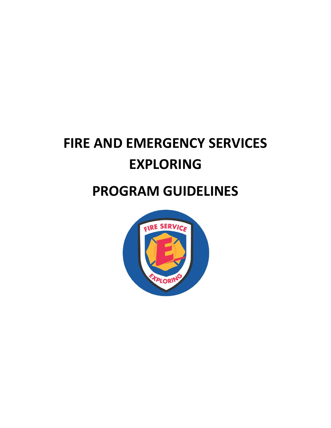# **FIRE AND EMERGENCY SERVICES EXPLORING**

## **PROGRAM GUIDELINES**

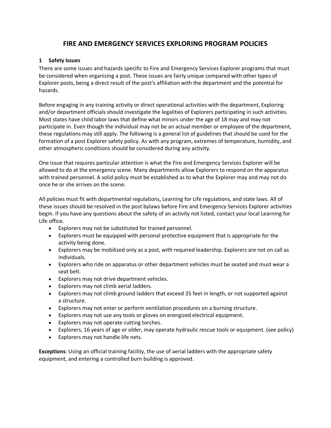### **FIRE AND EMERGENCY SERVICES EXPLORING PROGRAM POLICIES**

#### **1 Safety Issues**

There are some issues and hazards specific to Fire and Emergency Services Explorer programs that must be considered when organizing a post. These issues are fairly unique compared with other types of Explorer posts, being a direct result of the post's affiliation with the department and the potential for hazards.

Before engaging in any training activity or direct operational activities with the department, Exploring and/or department officials should investigate the legalities of Explorers participating in such activities. Most states have child labor laws that define what minors under the age of 18 may and may not participate in. Even though the individual may not be an actual member or employee of the department, these regulations may still apply. The following is a general list of guidelines that should be used for the formation of a post Explorer safety policy. As with any program, extremes of temperature, humidity, and other atmospheric conditions should be considered during any activity.

One issue that requires particular attention is what the Fire and Emergency Services Explorer will be allowed to do at the emergency scene. Many departments allow Explorers to respond on the apparatus with trained personnel. A solid policy must be established as to what the Explorer may and may not do once he or she arrives on the scene.

All policies must fit with departmental regulations, Learning for Life regulations, and state laws. All of these issues should be resolved in the post bylaws before Fire and Emergency Services Explorer activities begin. If you have any questions about the safety of an activity not listed, contact your local Learning for Life office.

- Explorers may not be substituted for trained personnel.
- Explorers must be equipped with personal protective equipment that is appropriate for the activity being done.
- Explorers may be mobilized only as a post, with required leadership. Explorers are not on call as individuals.
- Explorers who ride on apparatus or other department vehicles must be seated and must wear a seat belt.
- Explorers may not drive department vehicles.
- Explorers may not climb aerial ladders.
- Explorers may not climb ground ladders that exceed 35 feet in length, or not supported against a structure.
- Explorers may not enter or perform ventilation procedures on a burning structure.
- Explorers may not use any tools or gloves on energized electrical equipment.
- Explorers may not operate cutting torches.
- Explorers, 16 years of age or older, may operate hydraulic rescue tools or equipment. (see policy)
- Explorers may not handle life nets.

**Exceptions**: Using an official training facility, the use of aerial ladders with the appropriate safety equipment, and entering a controlled burn building is approved.